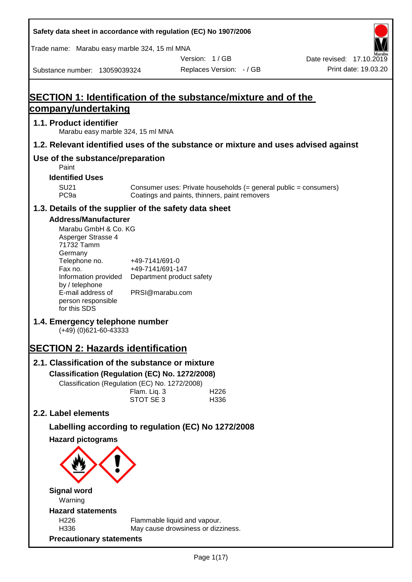| Safety data sheet in accordance with regulation (EC) No 1907/2006                                                                                                                                                                                                                                                                                                                                                                                                                                    |                                                                                                                 |                                               |                                                                  |                          |
|------------------------------------------------------------------------------------------------------------------------------------------------------------------------------------------------------------------------------------------------------------------------------------------------------------------------------------------------------------------------------------------------------------------------------------------------------------------------------------------------------|-----------------------------------------------------------------------------------------------------------------|-----------------------------------------------|------------------------------------------------------------------|--------------------------|
| Trade name: Marabu easy marble 324, 15 ml MNA                                                                                                                                                                                                                                                                                                                                                                                                                                                        |                                                                                                                 |                                               |                                                                  |                          |
|                                                                                                                                                                                                                                                                                                                                                                                                                                                                                                      |                                                                                                                 | Version: 1/GB                                 |                                                                  | Date revised: 17.10.2019 |
| Substance number: 13059039324                                                                                                                                                                                                                                                                                                                                                                                                                                                                        |                                                                                                                 | Replaces Version: - / GB                      |                                                                  | Print date: 19.03.20     |
| <b>SECTION 1: Identification of the substance/mixture and of the</b><br>company/undertaking                                                                                                                                                                                                                                                                                                                                                                                                          |                                                                                                                 |                                               |                                                                  |                          |
| 1.1. Product identifier<br>Marabu easy marble 324, 15 ml MNA                                                                                                                                                                                                                                                                                                                                                                                                                                         |                                                                                                                 |                                               |                                                                  |                          |
| 1.2. Relevant identified uses of the substance or mixture and uses advised against                                                                                                                                                                                                                                                                                                                                                                                                                   |                                                                                                                 |                                               |                                                                  |                          |
| Use of the substance/preparation<br>Paint                                                                                                                                                                                                                                                                                                                                                                                                                                                            |                                                                                                                 |                                               |                                                                  |                          |
| <b>Identified Uses</b>                                                                                                                                                                                                                                                                                                                                                                                                                                                                               |                                                                                                                 |                                               |                                                                  |                          |
| <b>SU21</b><br>PC <sub>9a</sub>                                                                                                                                                                                                                                                                                                                                                                                                                                                                      |                                                                                                                 | Coatings and paints, thinners, paint removers | Consumer uses: Private households (= general public = consumers) |                          |
| 1.3. Details of the supplier of the safety data sheet                                                                                                                                                                                                                                                                                                                                                                                                                                                |                                                                                                                 |                                               |                                                                  |                          |
| <b>Address/Manufacturer</b><br>Marabu GmbH & Co. KG<br>Asperger Strasse 4<br>71732 Tamm<br>Germany<br>Telephone no.<br>Fax no.<br>Information provided<br>by / telephone<br>E-mail address of<br>person responsible<br>for this SDS<br>1.4. Emergency telephone number<br>$(+49)$ (0)621-60-43333<br><b>SECTION 2: Hazards identification</b><br>2.1. Classification of the substance or mixture<br>Classification (Regulation (EC) No. 1272/2008)<br>Classification (Regulation (EC) No. 1272/2008) | +49-7141/691-0<br>+49-7141/691-147<br>Department product safety<br>PRSI@marabu.com<br>Flam. Liq. 3<br>STOT SE 3 | H <sub>226</sub><br>H336                      |                                                                  |                          |
| 2.2. Label elements                                                                                                                                                                                                                                                                                                                                                                                                                                                                                  |                                                                                                                 |                                               |                                                                  |                          |
| Labelling according to regulation (EC) No 1272/2008                                                                                                                                                                                                                                                                                                                                                                                                                                                  |                                                                                                                 |                                               |                                                                  |                          |
| <b>Hazard pictograms</b>                                                                                                                                                                                                                                                                                                                                                                                                                                                                             |                                                                                                                 |                                               |                                                                  |                          |
| <b>Signal word</b><br>Warning                                                                                                                                                                                                                                                                                                                                                                                                                                                                        |                                                                                                                 |                                               |                                                                  |                          |
| <b>Hazard statements</b>                                                                                                                                                                                                                                                                                                                                                                                                                                                                             |                                                                                                                 |                                               |                                                                  |                          |
| H226<br>H336                                                                                                                                                                                                                                                                                                                                                                                                                                                                                         | Flammable liquid and vapour.                                                                                    | May cause drowsiness or dizziness.            |                                                                  |                          |
| <b>Precautionary statements</b>                                                                                                                                                                                                                                                                                                                                                                                                                                                                      |                                                                                                                 |                                               |                                                                  |                          |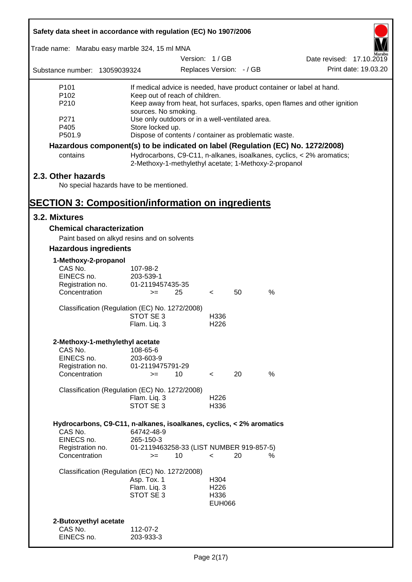| Safety data sheet in accordance with regulation (EC) No 1907/2006               |                                                       |               |                          |    |      |                                                                           |
|---------------------------------------------------------------------------------|-------------------------------------------------------|---------------|--------------------------|----|------|---------------------------------------------------------------------------|
| Trade name: Marabu easy marble 324, 15 ml MNA                                   |                                                       |               |                          |    |      |                                                                           |
|                                                                                 |                                                       | Version: 1/GB |                          |    |      | Date revised: 17.10.2019                                                  |
| Substance number: 13059039324                                                   |                                                       |               | Replaces Version: - / GB |    |      | Print date: 19.03.20                                                      |
| P <sub>101</sub>                                                                |                                                       |               |                          |    |      | If medical advice is needed, have product container or label at hand.     |
| P <sub>102</sub>                                                                | Keep out of reach of children.                        |               |                          |    |      |                                                                           |
| P210                                                                            | sources. No smoking.                                  |               |                          |    |      | Keep away from heat, hot surfaces, sparks, open flames and other ignition |
| P271                                                                            | Use only outdoors or in a well-ventilated area.       |               |                          |    |      |                                                                           |
| P405                                                                            | Store locked up.                                      |               |                          |    |      |                                                                           |
| P501.9                                                                          | Dispose of contents / container as problematic waste. |               |                          |    |      |                                                                           |
| Hazardous component(s) to be indicated on label (Regulation (EC) No. 1272/2008) |                                                       |               |                          |    |      |                                                                           |
| contains                                                                        | 2-Methoxy-1-methylethyl acetate; 1-Methoxy-2-propanol |               |                          |    |      | Hydrocarbons, C9-C11, n-alkanes, isoalkanes, cyclics, < 2% aromatics;     |
| 2.3. Other hazards                                                              |                                                       |               |                          |    |      |                                                                           |
| No special hazards have to be mentioned.                                        |                                                       |               |                          |    |      |                                                                           |
| <b>SECTION 3: Composition/information on ingredients</b>                        |                                                       |               |                          |    |      |                                                                           |
| 3.2. Mixtures                                                                   |                                                       |               |                          |    |      |                                                                           |
| <b>Chemical characterization</b>                                                |                                                       |               |                          |    |      |                                                                           |
| Paint based on alkyd resins and on solvents                                     |                                                       |               |                          |    |      |                                                                           |
| <b>Hazardous ingredients</b>                                                    |                                                       |               |                          |    |      |                                                                           |
| 1-Methoxy-2-propanol                                                            |                                                       |               |                          |    |      |                                                                           |
| CAS No.                                                                         | 107-98-2                                              |               |                          |    |      |                                                                           |
| EINECS no.                                                                      | 203-539-1                                             |               |                          |    |      |                                                                           |
| Registration no.<br>Concentration                                               | 01-2119457435-35<br>$>=$                              | 25            | $\lt$                    | 50 | $\%$ |                                                                           |
|                                                                                 |                                                       |               |                          |    |      |                                                                           |
| Classification (Regulation (EC) No. 1272/2008)                                  |                                                       |               |                          |    |      |                                                                           |
|                                                                                 | STOT SE 3                                             |               | H336                     |    |      |                                                                           |
|                                                                                 | Flam. Liq. 3                                          |               | H <sub>226</sub>         |    |      |                                                                           |
| 2-Methoxy-1-methylethyl acetate                                                 |                                                       |               |                          |    |      |                                                                           |
| CAS No.                                                                         | 108-65-6                                              |               |                          |    |      |                                                                           |
| EINECS no.                                                                      | 203-603-9                                             |               |                          |    |      |                                                                           |
| Registration no.                                                                | 01-2119475791-29                                      |               |                          |    |      |                                                                           |
| Concentration                                                                   | $>=$                                                  | 10            | $\prec$                  | 20 | %    |                                                                           |
| Classification (Regulation (EC) No. 1272/2008)                                  |                                                       |               |                          |    |      |                                                                           |
|                                                                                 | Flam. Liq. 3                                          |               | H <sub>226</sub>         |    |      |                                                                           |
|                                                                                 | STOT SE 3                                             |               | H336                     |    |      |                                                                           |
| Hydrocarbons, C9-C11, n-alkanes, isoalkanes, cyclics, < 2% aromatics            |                                                       |               |                          |    |      |                                                                           |
| CAS No.                                                                         | 64742-48-9                                            |               |                          |    |      |                                                                           |
| EINECS no.                                                                      | 265-150-3                                             |               |                          |    |      |                                                                           |
| Registration no.<br>Concentration                                               | 01-2119463258-33 (LIST NUMBER 919-857-5)              |               |                          |    |      |                                                                           |
|                                                                                 | $>=$                                                  | 10            | $\prec$                  | 20 | %    |                                                                           |
| Classification (Regulation (EC) No. 1272/2008)                                  |                                                       |               |                          |    |      |                                                                           |
|                                                                                 | Asp. Tox. 1                                           |               | H304                     |    |      |                                                                           |
|                                                                                 | Flam. Liq. 3<br>STOT SE 3                             |               | H <sub>226</sub><br>H336 |    |      |                                                                           |
|                                                                                 |                                                       |               | <b>EUH066</b>            |    |      |                                                                           |
|                                                                                 |                                                       |               |                          |    |      |                                                                           |
| 2-Butoxyethyl acetate                                                           |                                                       |               |                          |    |      |                                                                           |
| CAS No.                                                                         | 112-07-2                                              |               |                          |    |      |                                                                           |
| EINECS no.                                                                      | 203-933-3                                             |               |                          |    |      |                                                                           |

Г

 $\overline{\mathbf{1}}$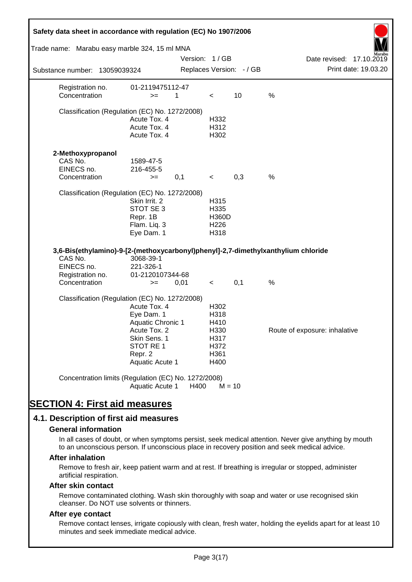| Safety data sheet in accordance with regulation (EC) No 1907/2006                 |                               |               |                          |                          |                                                                                                       |
|-----------------------------------------------------------------------------------|-------------------------------|---------------|--------------------------|--------------------------|-------------------------------------------------------------------------------------------------------|
| Trade name: Marabu easy marble 324, 15 ml MNA                                     |                               |               |                          |                          |                                                                                                       |
| Substance number: 13059039324                                                     |                               | Version: 1/GB |                          | Replaces Version: - / GB | Date revised: 17.10.2019<br>Print date: 19.03.20                                                      |
|                                                                                   |                               |               |                          |                          |                                                                                                       |
| Registration no.<br>Concentration                                                 | 01-2119475112-47<br>$>=$      | 1             | $\,<\,$                  | 10                       | $\%$                                                                                                  |
| Classification (Regulation (EC) No. 1272/2008)                                    |                               |               |                          |                          |                                                                                                       |
|                                                                                   | Acute Tox. 4                  |               | H332                     |                          |                                                                                                       |
|                                                                                   | Acute Tox. 4<br>Acute Tox. 4  |               | H312<br>H302             |                          |                                                                                                       |
|                                                                                   |                               |               |                          |                          |                                                                                                       |
| 2-Methoxypropanol                                                                 |                               |               |                          |                          |                                                                                                       |
| CAS No.<br>EINECS no.                                                             | 1589-47-5<br>216-455-5        |               |                          |                          |                                                                                                       |
| Concentration                                                                     | $>=$                          | 0,1           | $\,<\,$                  | 0,3                      | $\%$                                                                                                  |
|                                                                                   |                               |               |                          |                          |                                                                                                       |
| Classification (Regulation (EC) No. 1272/2008)                                    | Skin Irrit. 2                 |               | H315                     |                          |                                                                                                       |
|                                                                                   | STOT SE 3                     |               | H335                     |                          |                                                                                                       |
|                                                                                   | Repr. 1B                      |               | <b>H360D</b>             |                          |                                                                                                       |
|                                                                                   | Flam. Liq. 3<br>Eye Dam. 1    |               | H <sub>226</sub><br>H318 |                          |                                                                                                       |
|                                                                                   |                               |               |                          |                          |                                                                                                       |
| 3,6-Bis(ethylamino)-9-[2-(methoxycarbonyl)phenyl]-2,7-dimethylxanthylium chloride |                               |               |                          |                          |                                                                                                       |
| CAS No.                                                                           | 3068-39-1                     |               |                          |                          |                                                                                                       |
| EINECS no.<br>Registration no.                                                    | 221-326-1<br>01-2120107344-68 |               |                          |                          |                                                                                                       |
| Concentration                                                                     | $>=$                          | 0,01          | $\prec$                  | 0,1                      | %                                                                                                     |
| Classification (Regulation (EC) No. 1272/2008)                                    |                               |               |                          |                          |                                                                                                       |
|                                                                                   | Acute Tox. 4                  |               | H302                     |                          |                                                                                                       |
|                                                                                   | Eye Dam. 1                    |               | H318                     |                          |                                                                                                       |
|                                                                                   | <b>Aquatic Chronic 1</b>      |               | H410                     |                          |                                                                                                       |
|                                                                                   | Acute Tox. 2<br>Skin Sens. 1  |               | H330<br>H317             |                          | Route of exposure: inhalative                                                                         |
|                                                                                   | STOT RE 1                     |               | H372                     |                          |                                                                                                       |
|                                                                                   | Repr. 2                       |               | H361                     |                          |                                                                                                       |
|                                                                                   | Aquatic Acute 1               |               | H400                     |                          |                                                                                                       |
| Concentration limits (Regulation (EC) No. 1272/2008)                              | Aquatic Acute 1               | H400          | $M = 10$                 |                          |                                                                                                       |
|                                                                                   |                               |               |                          |                          |                                                                                                       |
| <b>SECTION 4: First aid measures</b>                                              |                               |               |                          |                          |                                                                                                       |
| 4.1. Description of first aid measures                                            |                               |               |                          |                          |                                                                                                       |
| <b>General information</b>                                                        |                               |               |                          |                          |                                                                                                       |
|                                                                                   |                               |               |                          |                          | In all cases of doubt, or when symptoms persist, seek medical attention. Never give anything by mouth |
|                                                                                   |                               |               |                          |                          | to an unconscious person. If unconscious place in recovery position and seek medical advice.          |
| <b>After inhalation</b>                                                           |                               |               |                          |                          |                                                                                                       |
| artificial respiration.                                                           |                               |               |                          |                          | Remove to fresh air, keep patient warm and at rest. If breathing is irregular or stopped, administer  |

#### **After skin contact**

Remove contaminated clothing. Wash skin thoroughly with soap and water or use recognised skin cleanser. Do NOT use solvents or thinners.

#### **After eye contact**

Remove contact lenses, irrigate copiously with clean, fresh water, holding the eyelids apart for at least 10 minutes and seek immediate medical advice.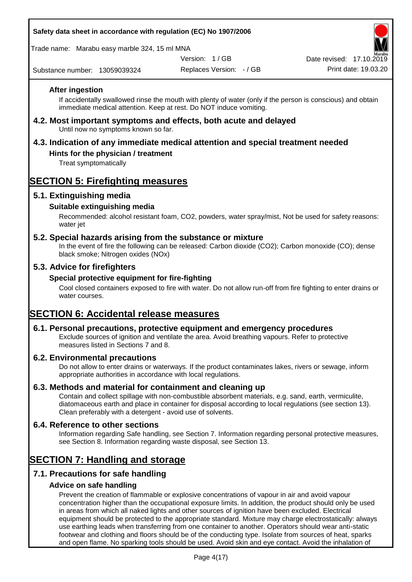### **Safety data sheet in accordance with regulation (EC) No 1907/2006**

Trade name: Marabu easy marble 324, 15 ml MNA

Version: 1 / GB

Substance number: 13059039324

Replaces Version: - / GB Print date: 19.03.20 Date revised: 17.10.2

### **After ingestion**

If accidentally swallowed rinse the mouth with plenty of water (only if the person is conscious) and obtain immediate medical attention. Keep at rest. Do NOT induce vomiting.

#### **4.2. Most important symptoms and effects, both acute and delayed** Until now no symptoms known so far.

## **4.3. Indication of any immediate medical attention and special treatment needed**

## **Hints for the physician / treatment**

Treat symptomatically

## **SECTION 5: Firefighting measures**

## **5.1. Extinguishing media**

### **Suitable extinguishing media**

Recommended: alcohol resistant foam, CO2, powders, water spray/mist, Not be used for safety reasons: water *iet* 

### **5.2. Special hazards arising from the substance or mixture**

In the event of fire the following can be released: Carbon dioxide (CO2); Carbon monoxide (CO); dense black smoke; Nitrogen oxides (NOx)

### **5.3. Advice for firefighters**

#### **Special protective equipment for fire-fighting**

Cool closed containers exposed to fire with water. Do not allow run-off from fire fighting to enter drains or water courses.

## **SECTION 6: Accidental release measures**

#### **6.1. Personal precautions, protective equipment and emergency procedures**

Exclude sources of ignition and ventilate the area. Avoid breathing vapours. Refer to protective measures listed in Sections 7 and 8.

#### **6.2. Environmental precautions**

Do not allow to enter drains or waterways. If the product contaminates lakes, rivers or sewage, inform appropriate authorities in accordance with local regulations.

#### **6.3. Methods and material for containment and cleaning up**

Contain and collect spillage with non-combustible absorbent materials, e.g. sand, earth, vermiculite, diatomaceous earth and place in container for disposal according to local regulations (see section 13). Clean preferably with a detergent - avoid use of solvents.

#### **6.4. Reference to other sections**

Information regarding Safe handling, see Section 7. Information regarding personal protective measures, see Section 8. Information regarding waste disposal, see Section 13.

## **SECTION 7: Handling and storage**

## **7.1. Precautions for safe handling**

#### **Advice on safe handling**

Prevent the creation of flammable or explosive concentrations of vapour in air and avoid vapour concentration higher than the occupational exposure limits. In addition, the product should only be used in areas from which all naked lights and other sources of ignition have been excluded. Electrical equipment should be protected to the appropriate standard. Mixture may charge electrostatically: always use earthing leads when transferring from one container to another. Operators should wear anti-static footwear and clothing and floors should be of the conducting type. Isolate from sources of heat, sparks and open flame. No sparking tools should be used. Avoid skin and eye contact. Avoid the inhalation of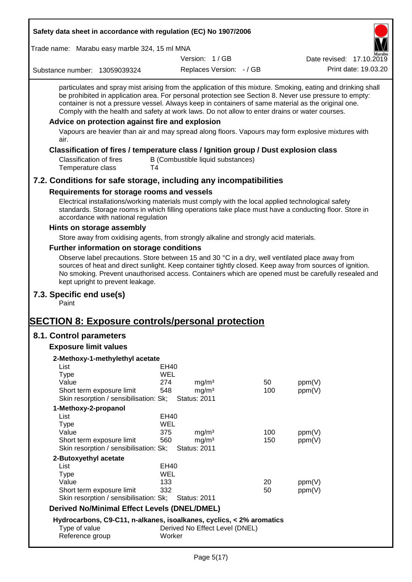| Safety data sheet in accordance with regulation (EC) No 1907/2006                                                                                                                                                                                                                                                                                                 |                                  |                                                               |                                                                                        |                                                                                                                                                                                                                                                                                                                                                                                                                             |
|-------------------------------------------------------------------------------------------------------------------------------------------------------------------------------------------------------------------------------------------------------------------------------------------------------------------------------------------------------------------|----------------------------------|---------------------------------------------------------------|----------------------------------------------------------------------------------------|-----------------------------------------------------------------------------------------------------------------------------------------------------------------------------------------------------------------------------------------------------------------------------------------------------------------------------------------------------------------------------------------------------------------------------|
| Trade name: Marabu easy marble 324, 15 ml MNA                                                                                                                                                                                                                                                                                                                     |                                  |                                                               |                                                                                        |                                                                                                                                                                                                                                                                                                                                                                                                                             |
|                                                                                                                                                                                                                                                                                                                                                                   |                                  | Version: 1/GB                                                 |                                                                                        | Date revised: 17.10.2019                                                                                                                                                                                                                                                                                                                                                                                                    |
| Substance number: 13059039324                                                                                                                                                                                                                                                                                                                                     |                                  | Replaces Version: - / GB                                      |                                                                                        | Print date: 19.03.20                                                                                                                                                                                                                                                                                                                                                                                                        |
| Comply with the health and safety at work laws. Do not allow to enter drains or water courses.                                                                                                                                                                                                                                                                    |                                  |                                                               |                                                                                        | particulates and spray mist arising from the application of this mixture. Smoking, eating and drinking shall<br>be prohibited in application area. For personal protection see Section 8. Never use pressure to empty:<br>container is not a pressure vessel. Always keep in containers of same material as the original one.                                                                                               |
| Advice on protection against fire and explosion                                                                                                                                                                                                                                                                                                                   |                                  |                                                               |                                                                                        |                                                                                                                                                                                                                                                                                                                                                                                                                             |
| air.                                                                                                                                                                                                                                                                                                                                                              |                                  |                                                               |                                                                                        | Vapours are heavier than air and may spread along floors. Vapours may form explosive mixtures with                                                                                                                                                                                                                                                                                                                          |
| Classification of fires / temperature class / Ignition group / Dust explosion class<br><b>Classification of fires</b><br>Temperature class                                                                                                                                                                                                                        | T4                               | B (Combustible liquid substances)                             |                                                                                        |                                                                                                                                                                                                                                                                                                                                                                                                                             |
| 7.2. Conditions for safe storage, including any incompatibilities                                                                                                                                                                                                                                                                                                 |                                  |                                                               |                                                                                        |                                                                                                                                                                                                                                                                                                                                                                                                                             |
| Requirements for storage rooms and vessels<br>Electrical installations/working materials must comply with the local applied technological safety<br>accordance with national regulation<br>Hints on storage assembly<br>Store away from oxidising agents, from strongly alkaline and strongly acid materials.<br><b>Further information on storage conditions</b> |                                  |                                                               |                                                                                        | standards. Storage rooms in which filling operations take place must have a conducting floor. Store in<br>Observe label precautions. Store between 15 and 30 °C in a dry, well ventilated place away from<br>sources of heat and direct sunlight. Keep container tightly closed. Keep away from sources of ignition.<br>No smoking. Prevent unauthorised access. Containers which are opened must be carefully resealed and |
| kept upright to prevent leakage.<br>7.3. Specific end use(s)<br>Paint                                                                                                                                                                                                                                                                                             |                                  |                                                               |                                                                                        |                                                                                                                                                                                                                                                                                                                                                                                                                             |
| <b>SECTION 8: Exposure controls/personal protection</b>                                                                                                                                                                                                                                                                                                           |                                  |                                                               |                                                                                        |                                                                                                                                                                                                                                                                                                                                                                                                                             |
| 8.1. Control parameters                                                                                                                                                                                                                                                                                                                                           |                                  |                                                               |                                                                                        |                                                                                                                                                                                                                                                                                                                                                                                                                             |
| <b>Exposure limit values</b>                                                                                                                                                                                                                                                                                                                                      |                                  |                                                               |                                                                                        |                                                                                                                                                                                                                                                                                                                                                                                                                             |
| 2-Methoxy-1-methylethyl acetate<br>List<br><b>Type</b><br>Value<br>Short term exposure limit<br>Skin resorption / sensibilisation: Sk;                                                                                                                                                                                                                            | <b>EH40</b><br>WEL<br>274<br>548 | mg/m <sup>3</sup><br>mg/m <sup>3</sup><br><b>Status: 2011</b> | 50<br>100                                                                              | ppm(V)<br>ppm(V)                                                                                                                                                                                                                                                                                                                                                                                                            |
| 1-Methoxy-2-propanol                                                                                                                                                                                                                                                                                                                                              |                                  |                                                               |                                                                                        |                                                                                                                                                                                                                                                                                                                                                                                                                             |
| List<br><b>Type</b><br>Value<br>Short term exposure limit<br>Skin resorption / sensibilisation: Sk;                                                                                                                                                                                                                                                               | EH40<br>WEL<br>375<br>560        | mg/m <sup>3</sup><br>mg/m <sup>3</sup><br><b>Status: 2011</b> | 100<br>150                                                                             | ppm(V)<br>ppm(V)                                                                                                                                                                                                                                                                                                                                                                                                            |
| 2-Butoxyethyl acetate<br>List<br><b>Type</b><br>Value<br>Short term exposure limit<br>Skin resorption / sensibilisation: Sk;<br><b>Derived No/Minimal Effect Levels (DNEL/DMEL)</b>                                                                                                                                                                               | EH40<br>WEL<br>133<br>332        | <b>Status: 2011</b>                                           | 20<br>50<br>Hydrocarbons $C9-C11$ n-alkanes isoalkanes cyclics $\epsilon$ 2% aromatics | ppm(V)<br>ppm(V)                                                                                                                                                                                                                                                                                                                                                                                                            |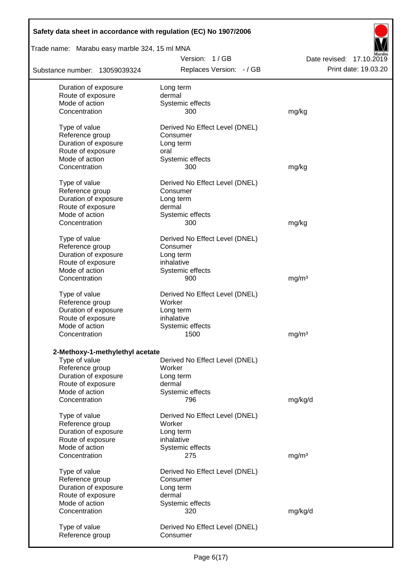| Safety data sheet in accordance with regulation (EC) No 1907/2006 |                                |                             |
|-------------------------------------------------------------------|--------------------------------|-----------------------------|
| Trade name: Marabu easy marble 324, 15 ml MNA                     |                                |                             |
|                                                                   | Version: 1/GB                  | Date revised:<br>17.10.2019 |
| Substance number: 13059039324                                     | Replaces Version: - / GB       | Print date: 19.03.20        |
| Duration of exposure                                              | Long term                      |                             |
| Route of exposure                                                 | dermal                         |                             |
| Mode of action                                                    | Systemic effects               |                             |
| Concentration                                                     | 300                            | mg/kg                       |
| Type of value                                                     | Derived No Effect Level (DNEL) |                             |
| Reference group                                                   | Consumer                       |                             |
| Duration of exposure                                              | Long term                      |                             |
| Route of exposure                                                 | oral                           |                             |
| Mode of action                                                    | Systemic effects               |                             |
| Concentration                                                     | 300                            | mg/kg                       |
| Type of value                                                     | Derived No Effect Level (DNEL) |                             |
| Reference group                                                   | Consumer                       |                             |
| Duration of exposure                                              | Long term                      |                             |
| Route of exposure                                                 | dermal                         |                             |
| Mode of action                                                    | Systemic effects               |                             |
| Concentration                                                     | 300                            | mg/kg                       |
| Type of value                                                     | Derived No Effect Level (DNEL) |                             |
| Reference group                                                   | Consumer                       |                             |
| Duration of exposure                                              | Long term                      |                             |
| Route of exposure                                                 | inhalative                     |                             |
| Mode of action                                                    | Systemic effects               |                             |
| Concentration                                                     | 900                            | mg/m <sup>3</sup>           |
| Type of value                                                     | Derived No Effect Level (DNEL) |                             |
| Reference group                                                   | Worker                         |                             |
| Duration of exposure                                              | Long term                      |                             |
| Route of exposure                                                 | inhalative                     |                             |
| Mode of action                                                    | Systemic effects               |                             |
| Concentration                                                     | 1500                           | mg/m <sup>3</sup>           |
| 2-Methoxy-1-methylethyl acetate                                   |                                |                             |
| Type of value                                                     | Derived No Effect Level (DNEL) |                             |
| Reference group                                                   | Worker                         |                             |
| Duration of exposure                                              | Long term                      |                             |
| Route of exposure                                                 | dermal                         |                             |
| Mode of action                                                    | Systemic effects               |                             |
| Concentration                                                     | 796                            | mg/kg/d                     |
| Type of value                                                     | Derived No Effect Level (DNEL) |                             |
| Reference group                                                   | Worker                         |                             |
| Duration of exposure                                              | Long term                      |                             |
| Route of exposure                                                 | inhalative                     |                             |
| Mode of action                                                    | Systemic effects               |                             |
| Concentration                                                     | 275                            | mg/m <sup>3</sup>           |
| Type of value                                                     | Derived No Effect Level (DNEL) |                             |
| Reference group                                                   | Consumer                       |                             |
| Duration of exposure                                              | Long term                      |                             |
| Route of exposure                                                 | dermal                         |                             |
| Mode of action                                                    | Systemic effects               |                             |
| Concentration                                                     | 320                            | mg/kg/d                     |
| Type of value                                                     | Derived No Effect Level (DNEL) |                             |
| Reference group                                                   | Consumer                       |                             |
|                                                                   |                                |                             |

 $\mathbf{r}$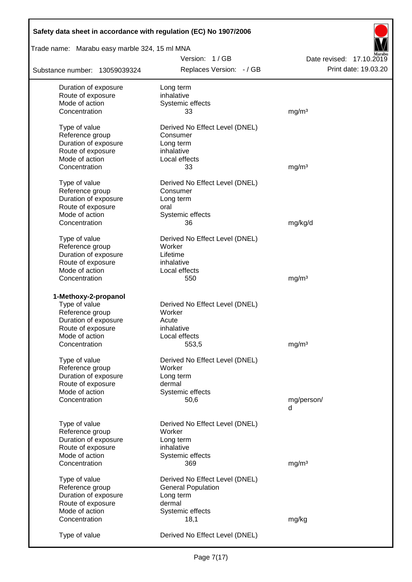| Safety data sheet in accordance with regulation (EC) No 1907/2006 |                                |                          |
|-------------------------------------------------------------------|--------------------------------|--------------------------|
| Trade name: Marabu easy marble 324, 15 ml MNA                     |                                |                          |
|                                                                   | Version: 1/GB                  | Date revised: 17.10.2019 |
| Substance number: 13059039324                                     | Replaces Version: - / GB       | Print date: 19.03.20     |
| Duration of exposure                                              | Long term                      |                          |
| Route of exposure                                                 | inhalative                     |                          |
| Mode of action                                                    | Systemic effects               |                          |
| Concentration                                                     | 33                             | mg/m <sup>3</sup>        |
| Type of value                                                     | Derived No Effect Level (DNEL) |                          |
| Reference group                                                   | Consumer                       |                          |
| Duration of exposure                                              | Long term                      |                          |
| Route of exposure                                                 | inhalative                     |                          |
| Mode of action                                                    | Local effects                  |                          |
| Concentration                                                     | 33                             | mg/m <sup>3</sup>        |
| Type of value                                                     | Derived No Effect Level (DNEL) |                          |
| Reference group                                                   | Consumer                       |                          |
| Duration of exposure                                              | Long term                      |                          |
| Route of exposure                                                 | oral                           |                          |
| Mode of action                                                    | Systemic effects               |                          |
| Concentration                                                     | 36                             | mg/kg/d                  |
| Type of value                                                     | Derived No Effect Level (DNEL) |                          |
| Reference group                                                   | Worker                         |                          |
| Duration of exposure                                              | Lifetime                       |                          |
| Route of exposure                                                 | inhalative                     |                          |
| Mode of action                                                    | Local effects                  |                          |
| Concentration                                                     | 550                            | mg/m <sup>3</sup>        |
| 1-Methoxy-2-propanol                                              |                                |                          |
| Type of value                                                     | Derived No Effect Level (DNEL) |                          |
| Reference group                                                   | Worker                         |                          |
| Duration of exposure                                              | Acute                          |                          |
| Route of exposure                                                 | inhalative                     |                          |
| Mode of action                                                    | Local effects                  |                          |
| Concentration                                                     | 553,5                          | mg/m <sup>3</sup>        |
| Type of value                                                     | Derived No Effect Level (DNEL) |                          |
| Reference group                                                   | Worker                         |                          |
| Duration of exposure                                              | Long term                      |                          |
| Route of exposure                                                 | dermal                         |                          |
| Mode of action                                                    | Systemic effects               |                          |
| Concentration                                                     | 50,6                           | mg/person/               |
|                                                                   |                                | d                        |
| Type of value                                                     | Derived No Effect Level (DNEL) |                          |
| Reference group                                                   | Worker                         |                          |
| Duration of exposure                                              | Long term                      |                          |
| Route of exposure                                                 | inhalative                     |                          |
| Mode of action                                                    | Systemic effects               |                          |
| Concentration                                                     | 369                            | mg/m <sup>3</sup>        |
| Type of value                                                     | Derived No Effect Level (DNEL) |                          |
| Reference group                                                   | <b>General Population</b>      |                          |
| Duration of exposure                                              | Long term                      |                          |
| Route of exposure                                                 | dermal                         |                          |
| Mode of action                                                    | Systemic effects               |                          |
| Concentration                                                     | 18,1                           | mg/kg                    |
| Type of value                                                     | Derived No Effect Level (DNEL) |                          |

Г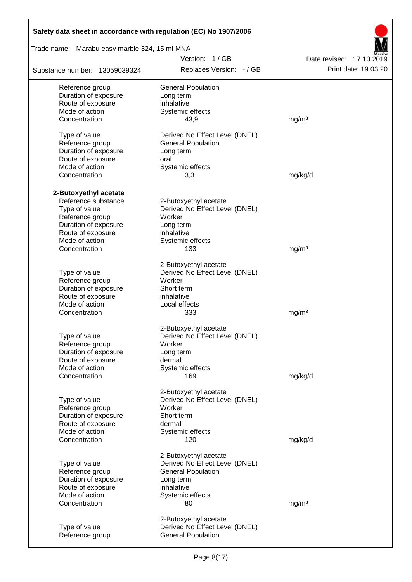| Safety data sheet in accordance with regulation (EC) No 1907/2006 |                                |                          |
|-------------------------------------------------------------------|--------------------------------|--------------------------|
| Trade name: Marabu easy marble 324, 15 ml MNA                     |                                |                          |
|                                                                   | Version: 1/GB                  | Date revised: 17.10.2019 |
| Substance number: 13059039324                                     | Replaces Version: - / GB       | Print date: 19.03.20     |
| Reference group                                                   | <b>General Population</b>      |                          |
| Duration of exposure                                              | Long term                      |                          |
| Route of exposure                                                 | inhalative                     |                          |
| Mode of action                                                    | Systemic effects               |                          |
| Concentration                                                     | 43,9                           | mg/m <sup>3</sup>        |
| Type of value                                                     | Derived No Effect Level (DNEL) |                          |
| Reference group                                                   | <b>General Population</b>      |                          |
| Duration of exposure                                              | Long term                      |                          |
| Route of exposure                                                 | oral                           |                          |
| Mode of action                                                    | Systemic effects               |                          |
| Concentration                                                     | 3,3                            | mg/kg/d                  |
| 2-Butoxyethyl acetate                                             |                                |                          |
| Reference substance                                               | 2-Butoxyethyl acetate          |                          |
| Type of value                                                     | Derived No Effect Level (DNEL) |                          |
| Reference group                                                   | Worker                         |                          |
| Duration of exposure                                              | Long term                      |                          |
| Route of exposure                                                 | inhalative                     |                          |
| Mode of action                                                    | Systemic effects               |                          |
| Concentration                                                     | 133                            | mg/m <sup>3</sup>        |
|                                                                   | 2-Butoxyethyl acetate          |                          |
| Type of value                                                     | Derived No Effect Level (DNEL) |                          |
| Reference group                                                   | Worker                         |                          |
| Duration of exposure                                              | Short term                     |                          |
| Route of exposure                                                 | inhalative                     |                          |
| Mode of action                                                    | Local effects                  |                          |
| Concentration                                                     | 333                            | mg/m <sup>3</sup>        |
|                                                                   | 2-Butoxyethyl acetate          |                          |
| Type of value                                                     | Derived No Effect Level (DNEL) |                          |
| Reference group                                                   | Worker                         |                          |
| Duration of exposure                                              | Long term                      |                          |
| Route of exposure                                                 | dermal                         |                          |
| Mode of action                                                    | Systemic effects               |                          |
| Concentration                                                     | 169                            | mg/kg/d                  |
|                                                                   | 2-Butoxyethyl acetate          |                          |
| Type of value                                                     | Derived No Effect Level (DNEL) |                          |
| Reference group                                                   | Worker                         |                          |
| Duration of exposure                                              | Short term                     |                          |
| Route of exposure                                                 | dermal                         |                          |
| Mode of action                                                    | Systemic effects               |                          |
| Concentration                                                     | 120                            | mg/kg/d                  |
|                                                                   | 2-Butoxyethyl acetate          |                          |
| Type of value                                                     | Derived No Effect Level (DNEL) |                          |
| Reference group                                                   | <b>General Population</b>      |                          |
| Duration of exposure                                              | Long term                      |                          |
| Route of exposure                                                 | inhalative                     |                          |
| Mode of action                                                    | Systemic effects               |                          |
| Concentration                                                     | 80                             | mg/m <sup>3</sup>        |
|                                                                   | 2-Butoxyethyl acetate          |                          |
| Type of value                                                     | Derived No Effect Level (DNEL) |                          |
| Reference group                                                   | <b>General Population</b>      |                          |
|                                                                   |                                |                          |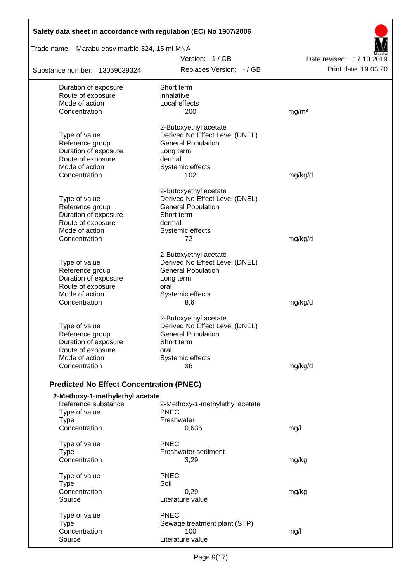| Safety data sheet in accordance with regulation (EC) No 1907/2006<br>Trade name: Marabu easy marble 324, 15 ml MNA |                                 |                          |
|--------------------------------------------------------------------------------------------------------------------|---------------------------------|--------------------------|
|                                                                                                                    | Version: 1/GB                   | Date revised: 17.10.2019 |
| Substance number: 13059039324                                                                                      | Replaces Version: - / GB        | Print date: 19.03.20     |
| Duration of exposure                                                                                               | Short term                      |                          |
| Route of exposure                                                                                                  | inhalative                      |                          |
| Mode of action                                                                                                     | Local effects                   |                          |
| Concentration                                                                                                      | 200                             | mg/m <sup>3</sup>        |
|                                                                                                                    | 2-Butoxyethyl acetate           |                          |
| Type of value                                                                                                      | Derived No Effect Level (DNEL)  |                          |
| Reference group                                                                                                    | <b>General Population</b>       |                          |
| Duration of exposure                                                                                               | Long term                       |                          |
| Route of exposure<br>Mode of action                                                                                | dermal                          |                          |
| Concentration                                                                                                      | Systemic effects                |                          |
|                                                                                                                    | 102                             | mg/kg/d                  |
|                                                                                                                    | 2-Butoxyethyl acetate           |                          |
| Type of value                                                                                                      | Derived No Effect Level (DNEL)  |                          |
| Reference group                                                                                                    | <b>General Population</b>       |                          |
| Duration of exposure                                                                                               | Short term                      |                          |
| Route of exposure<br>Mode of action                                                                                | dermal                          |                          |
| Concentration                                                                                                      | Systemic effects<br>72          |                          |
|                                                                                                                    |                                 | mg/kg/d                  |
|                                                                                                                    | 2-Butoxyethyl acetate           |                          |
| Type of value                                                                                                      | Derived No Effect Level (DNEL)  |                          |
| Reference group                                                                                                    | <b>General Population</b>       |                          |
| Duration of exposure                                                                                               | Long term                       |                          |
| Route of exposure                                                                                                  | oral                            |                          |
| Mode of action                                                                                                     | Systemic effects                |                          |
| Concentration                                                                                                      | 8,6                             | mg/kg/d                  |
|                                                                                                                    | 2-Butoxyethyl acetate           |                          |
| Type of value                                                                                                      | Derived No Effect Level (DNEL)  |                          |
| Reference group                                                                                                    | <b>General Population</b>       |                          |
| Duration of exposure                                                                                               | Short term                      |                          |
| Route of exposure                                                                                                  | oral                            |                          |
| Mode of action                                                                                                     | Systemic effects                |                          |
| Concentration                                                                                                      | 36                              | mg/kg/d                  |
| <b>Predicted No Effect Concentration (PNEC)</b>                                                                    |                                 |                          |
| 2-Methoxy-1-methylethyl acetate                                                                                    |                                 |                          |
| Reference substance                                                                                                | 2-Methoxy-1-methylethyl acetate |                          |
| Type of value                                                                                                      | <b>PNEC</b>                     |                          |
| <b>Type</b>                                                                                                        | Freshwater                      |                          |
| Concentration                                                                                                      | 0,635                           | mg/l                     |
| Type of value                                                                                                      | <b>PNEC</b>                     |                          |
| <b>Type</b>                                                                                                        | Freshwater sediment             |                          |
| Concentration                                                                                                      | 3,29                            | mg/kg                    |
| Type of value                                                                                                      | <b>PNEC</b>                     |                          |
| <b>Type</b>                                                                                                        | Soil                            |                          |
| Concentration                                                                                                      | 0,29                            | mg/kg                    |
| Source                                                                                                             | Literature value                |                          |
| Type of value                                                                                                      | <b>PNEC</b>                     |                          |
| <b>Type</b>                                                                                                        | Sewage treatment plant (STP)    |                          |
| Concentration                                                                                                      | 100                             | mg/l                     |
| Source                                                                                                             | Literature value                |                          |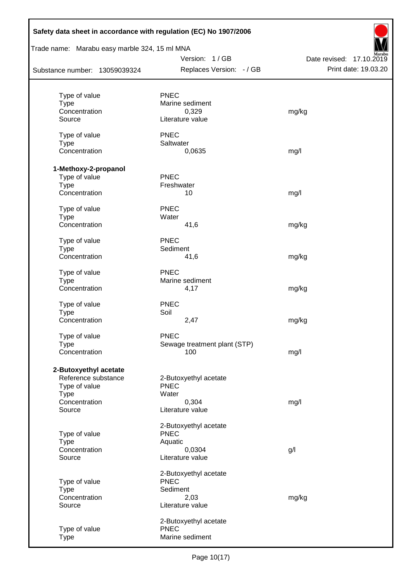| Safety data sheet in accordance with regulation (EC) No 1907/2006 |                              |                          |
|-------------------------------------------------------------------|------------------------------|--------------------------|
| Trade name: Marabu easy marble 324, 15 ml MNA                     |                              |                          |
|                                                                   | Version: 1/GB                | Date revised: 17.10.2019 |
| Substance number: 13059039324                                     | Replaces Version: - / GB     | Print date: 19.03.20     |
|                                                                   |                              |                          |
| Type of value                                                     | <b>PNEC</b>                  |                          |
| <b>Type</b><br>Concentration                                      | Marine sediment<br>0,329     |                          |
| Source                                                            | Literature value             | mg/kg                    |
|                                                                   |                              |                          |
| Type of value                                                     | <b>PNEC</b>                  |                          |
| <b>Type</b>                                                       | Saltwater                    |                          |
| Concentration                                                     | 0,0635                       | mg/l                     |
| 1-Methoxy-2-propanol                                              |                              |                          |
| Type of value                                                     | <b>PNEC</b>                  |                          |
| <b>Type</b>                                                       | Freshwater                   |                          |
| Concentration                                                     | 10                           | mg/l                     |
|                                                                   |                              |                          |
| Type of value                                                     | <b>PNEC</b>                  |                          |
| <b>Type</b>                                                       | Water                        |                          |
| Concentration                                                     | 41,6                         | mg/kg                    |
| Type of value                                                     | <b>PNEC</b>                  |                          |
| <b>Type</b>                                                       | Sediment                     |                          |
| Concentration                                                     | 41,6                         | mg/kg                    |
| Type of value                                                     | <b>PNEC</b>                  |                          |
| <b>Type</b>                                                       | Marine sediment              |                          |
| Concentration                                                     | 4,17                         | mg/kg                    |
|                                                                   | <b>PNEC</b>                  |                          |
| Type of value<br><b>Type</b>                                      | Soil                         |                          |
| Concentration                                                     | 2,47                         | mg/kg                    |
|                                                                   |                              |                          |
| Type of value                                                     | <b>PNEC</b>                  |                          |
| <b>Type</b>                                                       | Sewage treatment plant (STP) |                          |
| Concentration                                                     | 100                          | mg/l                     |
| 2-Butoxyethyl acetate                                             |                              |                          |
| Reference substance                                               | 2-Butoxyethyl acetate        |                          |
| Type of value                                                     | <b>PNEC</b>                  |                          |
| Type                                                              | Water                        |                          |
| Concentration                                                     | 0,304                        | mg/l                     |
| Source                                                            | Literature value             |                          |
|                                                                   | 2-Butoxyethyl acetate        |                          |
| Type of value                                                     | <b>PNEC</b>                  |                          |
| <b>Type</b>                                                       | Aquatic                      |                          |
| Concentration                                                     | 0,0304                       | g/                       |
| Source                                                            | Literature value             |                          |
|                                                                   | 2-Butoxyethyl acetate        |                          |
| Type of value                                                     | <b>PNEC</b>                  |                          |
| <b>Type</b>                                                       | Sediment                     |                          |
| Concentration                                                     | 2,03                         | mg/kg                    |
| Source                                                            | Literature value             |                          |
|                                                                   | 2-Butoxyethyl acetate        |                          |
| Type of value                                                     | <b>PNEC</b>                  |                          |
| <b>Type</b>                                                       | Marine sediment              |                          |
|                                                                   |                              |                          |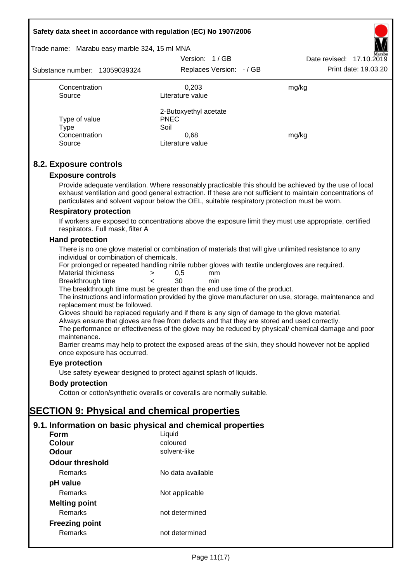#### **Safety data sheet in accordance with regulation (EC) No 1907/2006**

## Trade name: Marabu easy marble 324, 15 ml MNA

| Substance number: 13059039324                    | Version: 1/GB<br>Replaces Version: - / GB                                | Marabu<br>Date revised: 17.10.2019<br>Print date: 19.03.20 |
|--------------------------------------------------|--------------------------------------------------------------------------|------------------------------------------------------------|
| Concentration<br>Source                          | 0.203<br>Literature value                                                | mg/kg                                                      |
| Type of value<br>Type<br>Concentration<br>Source | 2-Butoxyethyl acetate<br><b>PNEC</b><br>Soil<br>0.68<br>Literature value | mg/kg                                                      |

#### **8.2. Exposure controls**

#### **Exposure controls**

Provide adequate ventilation. Where reasonably practicable this should be achieved by the use of local exhaust ventilation and good general extraction. If these are not sufficient to maintain concentrations of particulates and solvent vapour below the OEL, suitable respiratory protection must be worn.

#### **Respiratory protection**

If workers are exposed to concentrations above the exposure limit they must use appropriate, certified respirators. Full mask, filter A

#### **Hand protection**

There is no one glove material or combination of materials that will give unlimited resistance to any individual or combination of chemicals.

For prolonged or repeated handling nitrile rubber gloves with textile undergloves are required.

| Material thickness                    | 0.5 | mm |
|---------------------------------------|-----|----|
| المستنفي والمستحدث والقرابين والتراكي | ົ   |    |

Breakthrough time < 30 min The breakthrough time must be greater than the end use time of the product.

The instructions and information provided by the glove manufacturer on use, storage, maintenance and replacement must be followed.

Gloves should be replaced regularly and if there is any sign of damage to the glove material.

Always ensure that gloves are free from defects and that they are stored and used correctly.

The performance or effectiveness of the glove may be reduced by physical/ chemical damage and poor maintenance.

Barrier creams may help to protect the exposed areas of the skin, they should however not be applied once exposure has occurred.

#### **Eye protection**

Use safety eyewear designed to protect against splash of liquids.

#### **Body protection**

Cotton or cotton/synthetic overalls or coveralls are normally suitable.

## **SECTION 9: Physical and chemical properties**

## **9.1. Information on basic physical and chemical properties**

| Form                  | Liquid            |
|-----------------------|-------------------|
| Colour                | coloured          |
| Odour                 | solvent-like      |
| Odour threshold       |                   |
| Remarks               | No data available |
| pH value              |                   |
| Remarks               | Not applicable    |
| <b>Melting point</b>  |                   |
| Remarks               | not determined    |
| <b>Freezing point</b> |                   |
| Remarks               | not determined    |
|                       |                   |

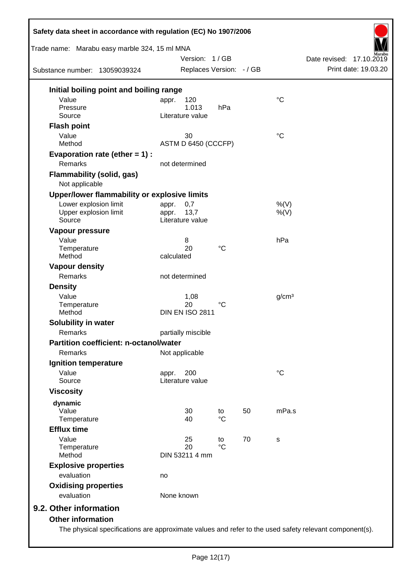| Trade name: Marabu easy marble 324, 15 ml MNA      |                | Version: 1/GB            |                 |    |                   | Date revised: 17.10.2019 |  |
|----------------------------------------------------|----------------|--------------------------|-----------------|----|-------------------|--------------------------|--|
| Substance number: 13059039324                      |                | Replaces Version: - / GB |                 |    |                   | Print date: 19.03.20     |  |
| Initial boiling point and boiling range            |                |                          |                 |    |                   |                          |  |
| Value                                              | appr.          | 120                      |                 |    | $\rm ^{\circ}C$   |                          |  |
| Pressure                                           |                | 1.013                    | hPa             |    |                   |                          |  |
| Source                                             |                | Literature value         |                 |    |                   |                          |  |
| <b>Flash point</b>                                 |                |                          |                 |    |                   |                          |  |
| Value<br>Method                                    |                | 30                       |                 |    | $\rm ^{\circ}C$   |                          |  |
|                                                    |                | ASTM D 6450 (CCCFP)      |                 |    |                   |                          |  |
| Evaporation rate (ether $= 1$ ) :                  |                |                          |                 |    |                   |                          |  |
| Remarks                                            | not determined |                          |                 |    |                   |                          |  |
| <b>Flammability (solid, gas)</b><br>Not applicable |                |                          |                 |    |                   |                          |  |
| Upper/lower flammability or explosive limits       |                |                          |                 |    |                   |                          |  |
| Lower explosion limit                              | appr.          | 0,7                      |                 |    | %(V)              |                          |  |
| Upper explosion limit                              | appr.          | 13,7                     |                 |    | $%$ (V)           |                          |  |
| Source                                             |                | Literature value         |                 |    |                   |                          |  |
| Vapour pressure                                    |                |                          |                 |    |                   |                          |  |
| Value                                              |                | 8<br>20                  | $\rm ^{\circ}C$ |    | hPa               |                          |  |
| Temperature<br>Method                              | calculated     |                          |                 |    |                   |                          |  |
| <b>Vapour density</b>                              |                |                          |                 |    |                   |                          |  |
| Remarks                                            | not determined |                          |                 |    |                   |                          |  |
| <b>Density</b>                                     |                |                          |                 |    |                   |                          |  |
| Value                                              |                | 1,08                     |                 |    | g/cm <sup>3</sup> |                          |  |
| Temperature                                        |                | 20                       | $^{\circ}C$     |    |                   |                          |  |
| Method                                             |                | <b>DIN EN ISO 2811</b>   |                 |    |                   |                          |  |
| Solubility in water                                |                |                          |                 |    |                   |                          |  |
| Remarks                                            |                | partially miscible       |                 |    |                   |                          |  |
| <b>Partition coefficient: n-octanol/water</b>      |                |                          |                 |    |                   |                          |  |
| Remarks                                            | Not applicable |                          |                 |    |                   |                          |  |
| Ignition temperature                               |                |                          |                 |    |                   |                          |  |
| Value                                              | appr.          | 200                      |                 |    | $^{\circ}C$       |                          |  |
| Source                                             |                | Literature value         |                 |    |                   |                          |  |
| <b>Viscosity</b>                                   |                |                          |                 |    |                   |                          |  |
| dynamic                                            |                |                          |                 |    |                   |                          |  |
| Value                                              |                | 30                       | to              | 50 | mPa.s             |                          |  |
| Temperature                                        |                | 40                       | $^{\circ}C$     |    |                   |                          |  |
| <b>Efflux time</b>                                 |                |                          |                 |    |                   |                          |  |
| Value                                              |                | 25                       | to              | 70 | $\mathbf S$       |                          |  |
| Temperature                                        |                | 20                       | $^{\circ}C$     |    |                   |                          |  |
| Method                                             |                | DIN 53211 4 mm           |                 |    |                   |                          |  |
| <b>Explosive properties</b>                        |                |                          |                 |    |                   |                          |  |
| evaluation                                         | no             |                          |                 |    |                   |                          |  |
| <b>Oxidising properties</b>                        |                |                          |                 |    |                   |                          |  |
| evaluation                                         | None known     |                          |                 |    |                   |                          |  |
| 9.2. Other information                             |                |                          |                 |    |                   |                          |  |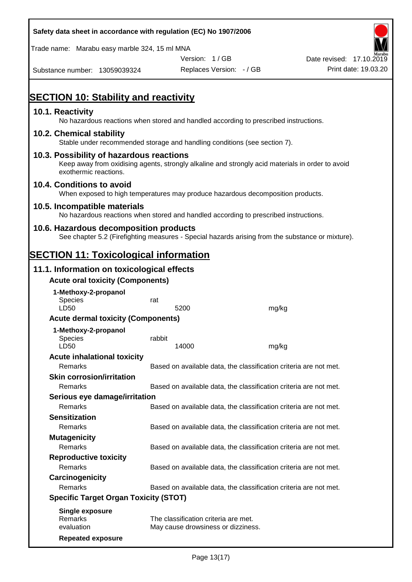| Safety data sheet in accordance with regulation (EC) No 1907/2006                                                                                                     |        |                                                                            |                                                                   |                          |
|-----------------------------------------------------------------------------------------------------------------------------------------------------------------------|--------|----------------------------------------------------------------------------|-------------------------------------------------------------------|--------------------------|
| Trade name: Marabu easy marble 324, 15 ml MNA                                                                                                                         |        |                                                                            |                                                                   |                          |
|                                                                                                                                                                       |        | Version: 1/GB                                                              |                                                                   | Date revised: 17.10.2019 |
| Substance number: 13059039324                                                                                                                                         |        | Replaces Version: - / GB                                                   |                                                                   | Print date: 19.03.20     |
| <b>SECTION 10: Stability and reactivity</b>                                                                                                                           |        |                                                                            |                                                                   |                          |
| 10.1. Reactivity<br>No hazardous reactions when stored and handled according to prescribed instructions.                                                              |        |                                                                            |                                                                   |                          |
| 10.2. Chemical stability<br>Stable under recommended storage and handling conditions (see section 7).                                                                 |        |                                                                            |                                                                   |                          |
| 10.3. Possibility of hazardous reactions<br>Keep away from oxidising agents, strongly alkaline and strongly acid materials in order to avoid<br>exothermic reactions. |        |                                                                            |                                                                   |                          |
| 10.4. Conditions to avoid<br>When exposed to high temperatures may produce hazardous decomposition products.                                                          |        |                                                                            |                                                                   |                          |
| 10.5. Incompatible materials<br>No hazardous reactions when stored and handled according to prescribed instructions.                                                  |        |                                                                            |                                                                   |                          |
| 10.6. Hazardous decomposition products<br>See chapter 5.2 (Firefighting measures - Special hazards arising from the substance or mixture).                            |        |                                                                            |                                                                   |                          |
| <b>SECTION 11: Toxicological information</b>                                                                                                                          |        |                                                                            |                                                                   |                          |
| 11.1. Information on toxicological effects                                                                                                                            |        |                                                                            |                                                                   |                          |
| <b>Acute oral toxicity (Components)</b>                                                                                                                               |        |                                                                            |                                                                   |                          |
| 1-Methoxy-2-propanol<br><b>Species</b><br>LD50                                                                                                                        | rat    | 5200                                                                       | mg/kg                                                             |                          |
| <b>Acute dermal toxicity (Components)</b>                                                                                                                             |        |                                                                            |                                                                   |                          |
| 1-Methoxy-2-propanol<br><b>Species</b><br>LD50                                                                                                                        | rabbit | 14000                                                                      | mg/kg                                                             |                          |
| <b>Acute inhalational toxicity</b>                                                                                                                                    |        |                                                                            |                                                                   |                          |
| Remarks                                                                                                                                                               |        |                                                                            | Based on available data, the classification criteria are not met. |                          |
| <b>Skin corrosion/irritation</b>                                                                                                                                      |        |                                                                            |                                                                   |                          |
| Remarks                                                                                                                                                               |        |                                                                            | Based on available data, the classification criteria are not met. |                          |
| Serious eye damage/irritation<br>Remarks                                                                                                                              |        |                                                                            | Based on available data, the classification criteria are not met. |                          |
| <b>Sensitization</b>                                                                                                                                                  |        |                                                                            |                                                                   |                          |
| Remarks                                                                                                                                                               |        |                                                                            | Based on available data, the classification criteria are not met. |                          |
| <b>Mutagenicity</b><br>Remarks                                                                                                                                        |        |                                                                            | Based on available data, the classification criteria are not met. |                          |
| <b>Reproductive toxicity</b>                                                                                                                                          |        |                                                                            |                                                                   |                          |
| Remarks                                                                                                                                                               |        |                                                                            | Based on available data, the classification criteria are not met. |                          |
| Carcinogenicity                                                                                                                                                       |        |                                                                            |                                                                   |                          |
| Remarks                                                                                                                                                               |        |                                                                            | Based on available data, the classification criteria are not met. |                          |
| <b>Specific Target Organ Toxicity (STOT)</b>                                                                                                                          |        |                                                                            |                                                                   |                          |
| <b>Single exposure</b><br><b>Remarks</b><br>evaluation                                                                                                                |        | The classification criteria are met.<br>May cause drowsiness or dizziness. |                                                                   |                          |
| <b>Repeated exposure</b>                                                                                                                                              |        |                                                                            |                                                                   |                          |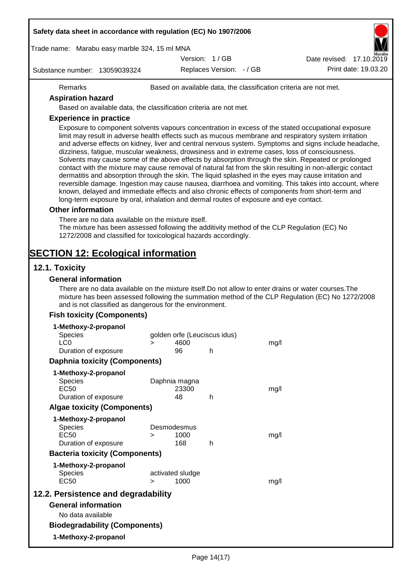| Safety data sheet in accordance with regulation (EC) No 1907/2006                       |                                                                                                                                                                                                                      |                              |                              |      |                                                                                                                                                                                                                                                                                                                                                                                                                                                                                                                                                                                                                                                                                                                                                                                                                                                                                                                                                              |
|-----------------------------------------------------------------------------------------|----------------------------------------------------------------------------------------------------------------------------------------------------------------------------------------------------------------------|------------------------------|------------------------------|------|--------------------------------------------------------------------------------------------------------------------------------------------------------------------------------------------------------------------------------------------------------------------------------------------------------------------------------------------------------------------------------------------------------------------------------------------------------------------------------------------------------------------------------------------------------------------------------------------------------------------------------------------------------------------------------------------------------------------------------------------------------------------------------------------------------------------------------------------------------------------------------------------------------------------------------------------------------------|
| Trade name: Marabu easy marble 324, 15 ml MNA                                           |                                                                                                                                                                                                                      |                              |                              |      |                                                                                                                                                                                                                                                                                                                                                                                                                                                                                                                                                                                                                                                                                                                                                                                                                                                                                                                                                              |
|                                                                                         |                                                                                                                                                                                                                      | Version: 1/GB                |                              |      | Date revised: 17.10.2019                                                                                                                                                                                                                                                                                                                                                                                                                                                                                                                                                                                                                                                                                                                                                                                                                                                                                                                                     |
| Substance number: 13059039324                                                           |                                                                                                                                                                                                                      |                              | Replaces Version: - / GB     |      | Print date: 19.03.20                                                                                                                                                                                                                                                                                                                                                                                                                                                                                                                                                                                                                                                                                                                                                                                                                                                                                                                                         |
| Remarks                                                                                 |                                                                                                                                                                                                                      |                              |                              |      | Based on available data, the classification criteria are not met.                                                                                                                                                                                                                                                                                                                                                                                                                                                                                                                                                                                                                                                                                                                                                                                                                                                                                            |
| <b>Aspiration hazard</b>                                                                |                                                                                                                                                                                                                      |                              |                              |      |                                                                                                                                                                                                                                                                                                                                                                                                                                                                                                                                                                                                                                                                                                                                                                                                                                                                                                                                                              |
|                                                                                         | Based on available data, the classification criteria are not met.                                                                                                                                                    |                              |                              |      |                                                                                                                                                                                                                                                                                                                                                                                                                                                                                                                                                                                                                                                                                                                                                                                                                                                                                                                                                              |
| <b>Experience in practice</b>                                                           |                                                                                                                                                                                                                      |                              |                              |      |                                                                                                                                                                                                                                                                                                                                                                                                                                                                                                                                                                                                                                                                                                                                                                                                                                                                                                                                                              |
|                                                                                         | long-term exposure by oral, inhalation and dermal routes of exposure and eye contact.                                                                                                                                |                              |                              |      | Exposure to component solvents vapours concentration in excess of the stated occupational exposure<br>limit may result in adverse health effects such as mucous membrane and respiratory system irritation<br>and adverse effects on kidney, liver and central nervous system. Symptoms and signs include headache,<br>dizziness, fatigue, muscular weakness, drowsiness and in extreme cases, loss of consciousness.<br>Solvents may cause some of the above effects by absorption through the skin. Repeated or prolonged<br>contact with the mixture may cause removal of natural fat from the skin resulting in non-allergic contact<br>dermatitis and absorption through the skin. The liquid splashed in the eyes may cause irritation and<br>reversible damage. Ingestion may cause nausea, diarrhoea and vomiting. This takes into account, where<br>known, delayed and immediate effects and also chronic effects of components from short-term and |
| <b>Other information</b>                                                                |                                                                                                                                                                                                                      |                              |                              |      |                                                                                                                                                                                                                                                                                                                                                                                                                                                                                                                                                                                                                                                                                                                                                                                                                                                                                                                                                              |
|                                                                                         | There are no data available on the mixture itself.<br>The mixture has been assessed following the additivity method of the CLP Regulation (EC) No<br>1272/2008 and classified for toxicological hazards accordingly. |                              |                              |      |                                                                                                                                                                                                                                                                                                                                                                                                                                                                                                                                                                                                                                                                                                                                                                                                                                                                                                                                                              |
| <b>SECTION 12: Ecological information</b>                                               |                                                                                                                                                                                                                      |                              |                              |      |                                                                                                                                                                                                                                                                                                                                                                                                                                                                                                                                                                                                                                                                                                                                                                                                                                                                                                                                                              |
| 12.1. Toxicity                                                                          |                                                                                                                                                                                                                      |                              |                              |      |                                                                                                                                                                                                                                                                                                                                                                                                                                                                                                                                                                                                                                                                                                                                                                                                                                                                                                                                                              |
| <b>General information</b>                                                              |                                                                                                                                                                                                                      |                              |                              |      |                                                                                                                                                                                                                                                                                                                                                                                                                                                                                                                                                                                                                                                                                                                                                                                                                                                                                                                                                              |
|                                                                                         | and is not classified as dangerous for the environment.                                                                                                                                                              |                              |                              |      | There are no data available on the mixture itself. Do not allow to enter drains or water courses. The<br>mixture has been assessed following the summation method of the CLP Regulation (EC) No 1272/2008                                                                                                                                                                                                                                                                                                                                                                                                                                                                                                                                                                                                                                                                                                                                                    |
| <b>Fish toxicity (Components)</b>                                                       |                                                                                                                                                                                                                      |                              |                              |      |                                                                                                                                                                                                                                                                                                                                                                                                                                                                                                                                                                                                                                                                                                                                                                                                                                                                                                                                                              |
| 1-Methoxy-2-propanol<br><b>Species</b><br>LC <sub>0</sub>                               | $\geq$                                                                                                                                                                                                               | 4600                         | golden orfe (Leuciscus idus) | mg/l |                                                                                                                                                                                                                                                                                                                                                                                                                                                                                                                                                                                                                                                                                                                                                                                                                                                                                                                                                              |
| Duration of exposure                                                                    |                                                                                                                                                                                                                      | 96                           | h                            |      |                                                                                                                                                                                                                                                                                                                                                                                                                                                                                                                                                                                                                                                                                                                                                                                                                                                                                                                                                              |
| <b>Daphnia toxicity (Components)</b>                                                    |                                                                                                                                                                                                                      |                              |                              |      |                                                                                                                                                                                                                                                                                                                                                                                                                                                                                                                                                                                                                                                                                                                                                                                                                                                                                                                                                              |
| 1-Methoxy-2-propanol<br><b>Species</b><br><b>EC50</b><br>Duration of exposure           |                                                                                                                                                                                                                      | Daphnia magna<br>23300<br>48 | h                            | mg/l |                                                                                                                                                                                                                                                                                                                                                                                                                                                                                                                                                                                                                                                                                                                                                                                                                                                                                                                                                              |
| <b>Algae toxicity (Components)</b>                                                      |                                                                                                                                                                                                                      |                              |                              |      |                                                                                                                                                                                                                                                                                                                                                                                                                                                                                                                                                                                                                                                                                                                                                                                                                                                                                                                                                              |
| 1-Methoxy-2-propanol<br><b>Species</b><br><b>EC50</b><br>Duration of exposure           | Desmodesmus<br>$\geq$                                                                                                                                                                                                | 1000<br>168                  | h                            | mg/l |                                                                                                                                                                                                                                                                                                                                                                                                                                                                                                                                                                                                                                                                                                                                                                                                                                                                                                                                                              |
| <b>Bacteria toxicity (Components)</b>                                                   |                                                                                                                                                                                                                      |                              |                              |      |                                                                                                                                                                                                                                                                                                                                                                                                                                                                                                                                                                                                                                                                                                                                                                                                                                                                                                                                                              |
| 1-Methoxy-2-propanol<br><b>Species</b><br><b>EC50</b>                                   | $\geq$                                                                                                                                                                                                               | activated sludge<br>1000     |                              | mg/l |                                                                                                                                                                                                                                                                                                                                                                                                                                                                                                                                                                                                                                                                                                                                                                                                                                                                                                                                                              |
| 12.2. Persistence and degradability                                                     |                                                                                                                                                                                                                      |                              |                              |      |                                                                                                                                                                                                                                                                                                                                                                                                                                                                                                                                                                                                                                                                                                                                                                                                                                                                                                                                                              |
| <b>General information</b><br>No data available<br><b>Biodegradability (Components)</b> |                                                                                                                                                                                                                      |                              |                              |      |                                                                                                                                                                                                                                                                                                                                                                                                                                                                                                                                                                                                                                                                                                                                                                                                                                                                                                                                                              |
| 1-Methoxy-2-propanol                                                                    |                                                                                                                                                                                                                      |                              |                              |      |                                                                                                                                                                                                                                                                                                                                                                                                                                                                                                                                                                                                                                                                                                                                                                                                                                                                                                                                                              |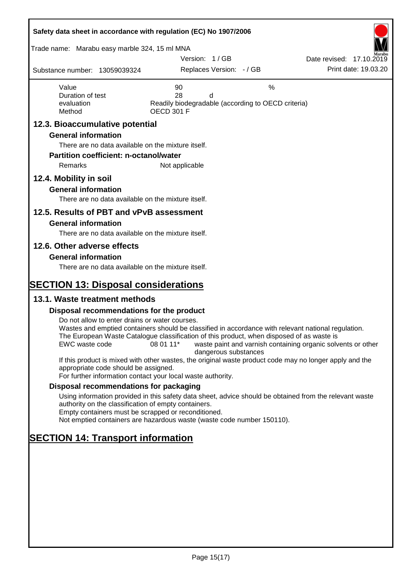| Safety data sheet in accordance with regulation (EC) No 1907/2006                                   |                                                                                                                                                                                                                                                                                                       |                                                  |
|-----------------------------------------------------------------------------------------------------|-------------------------------------------------------------------------------------------------------------------------------------------------------------------------------------------------------------------------------------------------------------------------------------------------------|--------------------------------------------------|
| Trade name: Marabu easy marble 324, 15 ml MNA                                                       | Version: 1/GB                                                                                                                                                                                                                                                                                         |                                                  |
| Substance number: 13059039324                                                                       | Replaces Version: - / GB                                                                                                                                                                                                                                                                              | Date revised: 17.10.2019<br>Print date: 19.03.20 |
| Value<br>Duration of test<br>evaluation<br>Method                                                   | $\%$<br>90<br>28<br>d<br>Readily biodegradable (according to OECD criteria)<br><b>OECD 301 F</b>                                                                                                                                                                                                      |                                                  |
| 12.3. Bioaccumulative potential                                                                     |                                                                                                                                                                                                                                                                                                       |                                                  |
| <b>General information</b>                                                                          |                                                                                                                                                                                                                                                                                                       |                                                  |
| There are no data available on the mixture itself.                                                  |                                                                                                                                                                                                                                                                                                       |                                                  |
| <b>Partition coefficient: n-octanol/water</b><br><b>Remarks</b>                                     | Not applicable                                                                                                                                                                                                                                                                                        |                                                  |
|                                                                                                     |                                                                                                                                                                                                                                                                                                       |                                                  |
| 12.4. Mobility in soil<br><b>General information</b>                                                |                                                                                                                                                                                                                                                                                                       |                                                  |
| There are no data available on the mixture itself.                                                  |                                                                                                                                                                                                                                                                                                       |                                                  |
| 12.5. Results of PBT and vPvB assessment                                                            |                                                                                                                                                                                                                                                                                                       |                                                  |
| <b>General information</b>                                                                          |                                                                                                                                                                                                                                                                                                       |                                                  |
| There are no data available on the mixture itself.                                                  |                                                                                                                                                                                                                                                                                                       |                                                  |
| 12.6. Other adverse effects                                                                         |                                                                                                                                                                                                                                                                                                       |                                                  |
| <b>General information</b>                                                                          |                                                                                                                                                                                                                                                                                                       |                                                  |
| There are no data available on the mixture itself.                                                  |                                                                                                                                                                                                                                                                                                       |                                                  |
| <b>SECTION 13: Disposal considerations</b>                                                          |                                                                                                                                                                                                                                                                                                       |                                                  |
| 13.1. Waste treatment methods                                                                       |                                                                                                                                                                                                                                                                                                       |                                                  |
| Disposal recommendations for the product                                                            |                                                                                                                                                                                                                                                                                                       |                                                  |
| Do not allow to enter drains or water courses.<br>EWC waste code                                    | Wastes and emptied containers should be classified in accordance with relevant national regulation.<br>The European Waste Catalogue classification of this product, when disposed of as waste is<br>08 01 11*<br>waste paint and varnish containing organic solvents or other<br>dangerous substances |                                                  |
| appropriate code should be assigned.<br>For further information contact your local waste authority. | If this product is mixed with other wastes, the original waste product code may no longer apply and the                                                                                                                                                                                               |                                                  |
| Disposal recommendations for packaging                                                              |                                                                                                                                                                                                                                                                                                       |                                                  |
| authority on the classification of empty containers.                                                | Using information provided in this safety data sheet, advice should be obtained from the relevant waste                                                                                                                                                                                               |                                                  |
| Empty containers must be scrapped or reconditioned.                                                 | Not emptied containers are hazardous waste (waste code number 150110).                                                                                                                                                                                                                                |                                                  |
| <b>SECTION 14: Transport information</b>                                                            |                                                                                                                                                                                                                                                                                                       |                                                  |
|                                                                                                     |                                                                                                                                                                                                                                                                                                       |                                                  |
|                                                                                                     |                                                                                                                                                                                                                                                                                                       |                                                  |
|                                                                                                     |                                                                                                                                                                                                                                                                                                       |                                                  |
|                                                                                                     |                                                                                                                                                                                                                                                                                                       |                                                  |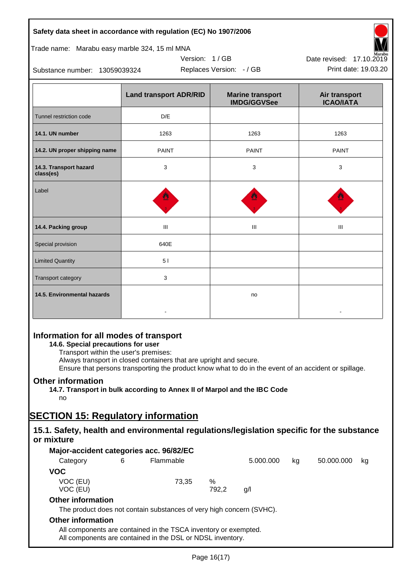| Safety data sheet in accordance with regulation (EC) No 1907/2006                 |                               |                                               |                                   |  |  |  |  |
|-----------------------------------------------------------------------------------|-------------------------------|-----------------------------------------------|-----------------------------------|--|--|--|--|
| Trade name: Marabu easy marble 324, 15 ml MNA                                     |                               |                                               |                                   |  |  |  |  |
| Version: 1/GB<br>Date revised: 17.10.2019                                         |                               |                                               |                                   |  |  |  |  |
| Print date: 19.03.20<br>Replaces Version: - / GB<br>Substance number: 13059039324 |                               |                                               |                                   |  |  |  |  |
|                                                                                   | <b>Land transport ADR/RID</b> | <b>Marine transport</b><br><b>IMDG/GGVSee</b> | Air transport<br><b>ICAO/IATA</b> |  |  |  |  |
| Tunnel restriction code                                                           | D/E                           |                                               |                                   |  |  |  |  |
| 14.1. UN number                                                                   | 1263                          | 1263                                          | 1263                              |  |  |  |  |
| 14.2. UN proper shipping name                                                     | <b>PAINT</b>                  | <b>PAINT</b>                                  | <b>PAINT</b>                      |  |  |  |  |
| 14.3. Transport hazard<br>class(es)                                               | 3                             | 3                                             | 3                                 |  |  |  |  |
| Label                                                                             |                               |                                               |                                   |  |  |  |  |
| 14.4. Packing group                                                               | III                           | III                                           | Ш                                 |  |  |  |  |
| Special provision                                                                 | 640E                          |                                               |                                   |  |  |  |  |
| <b>Limited Quantity</b>                                                           | 5 <sub>1</sub>                |                                               |                                   |  |  |  |  |
| Transport category                                                                | 3                             |                                               |                                   |  |  |  |  |
| 14.5. Environmental hazards                                                       |                               | no                                            |                                   |  |  |  |  |
|                                                                                   |                               |                                               |                                   |  |  |  |  |

## **Information for all modes of transport**

## **14.6. Special precautions for user**

Transport within the user's premises:

Always transport in closed containers that are upright and secure.

Ensure that persons transporting the product know what to do in the event of an accident or spillage.

## **Other information**

**14.7. Transport in bulk according to Annex II of Marpol and the IBC Code**

## no

# **SECTION 15: Regulatory information**

## **15.1. Safety, health and environmental regulations/legislation specific for the substance or mixture**

|                          |   | Major-accident categories acc. 96/82/EC                                                                                       |       |           |    |            |    |
|--------------------------|---|-------------------------------------------------------------------------------------------------------------------------------|-------|-----------|----|------------|----|
| Category                 | 6 | Flammable                                                                                                                     |       | 5.000.000 | kg | 50.000.000 | kg |
| <b>VOC</b>               |   |                                                                                                                               |       |           |    |            |    |
| VOC (EU)                 |   | 73.35                                                                                                                         | %     |           |    |            |    |
| VOC (EU)                 |   |                                                                                                                               | 792.2 | g/l       |    |            |    |
| <b>Other information</b> |   |                                                                                                                               |       |           |    |            |    |
|                          |   | The product does not contain substances of very high concern (SVHC).                                                          |       |           |    |            |    |
| <b>Other information</b> |   |                                                                                                                               |       |           |    |            |    |
|                          |   | All components are contained in the TSCA inventory or exempted.<br>All components are contained in the DSL or NDSL inventory. |       |           |    |            |    |